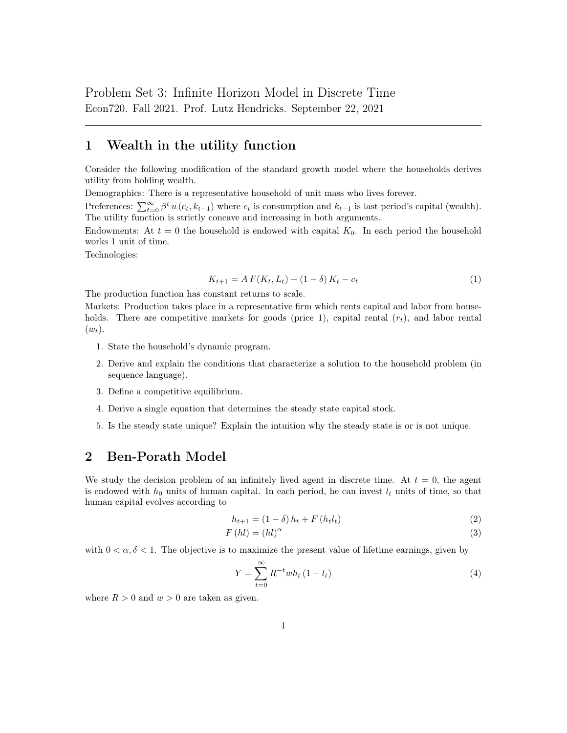## 1 Wealth in the utility function

Consider the following modification of the standard growth model where the households derives utility from holding wealth.

Demographics: There is a representative household of unit mass who lives forever.

Preferences:  $\sum_{t=0}^{\infty} \beta^t u(c_t, k_{t-1})$  where  $c_t$  is consumption and  $k_{t-1}$  is last period's capital (wealth). The utility function is strictly concave and increasing in both arguments.

Endowments: At  $t = 0$  the household is endowed with capital  $K_0$ . In each period the household works 1 unit of time.

Technologies:

$$
K_{t+1} = A F(K_t, L_t) + (1 - \delta) K_t - c_t \tag{1}
$$

The production function has constant returns to scale.

Markets: Production takes place in a representative firm which rents capital and labor from households. There are competitive markets for goods (price 1), capital rental  $(r_t)$ , and labor rental  $(w_t)$ .

- 1. State the household's dynamic program.
- 2. Derive and explain the conditions that characterize a solution to the household problem (in sequence language).
- 3. Define a competitive equilibrium.
- 4. Derive a single equation that determines the steady state capital stock.
- 5. Is the steady state unique? Explain the intuition why the steady state is or is not unique.

## 2 Ben-Porath Model

We study the decision problem of an infinitely lived agent in discrete time. At  $t = 0$ , the agent is endowed with  $h_0$  units of human capital. In each period, he can invest  $l_t$  units of time, so that human capital evolves according to

$$
h_{t+1} = (1 - \delta) h_t + F(h_t l_t)
$$
\n(2)

$$
F\left(hl\right) = \left(hl\right)^{\alpha} \tag{3}
$$

with  $0 < \alpha, \delta < 1$ . The objective is to maximize the present value of lifetime earnings, given by

$$
Y = \sum_{t=0}^{\infty} R^{-t} wh_t (1 - l_t)
$$
\n(4)

where  $R > 0$  and  $w > 0$  are taken as given.